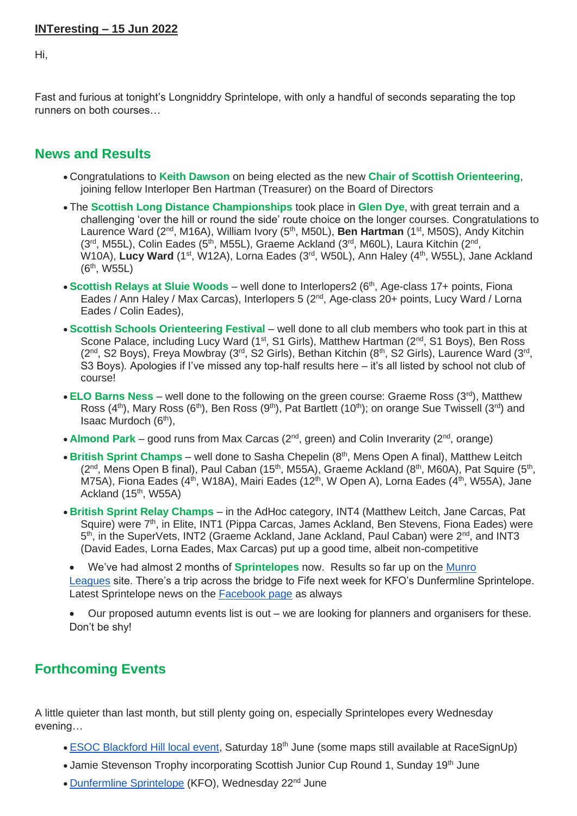## **INTeresting – 15 Jun 2022**

Hi,

Fast and furious at tonight's Longniddry Sprintelope, with only a handful of seconds separating the top runners on both courses…

## **News and Results**

- Congratulations to **Keith Dawson** on being elected as the new **Chair of Scottish Orienteering**, joining fellow Interloper Ben Hartman (Treasurer) on the Board of Directors
- The **Scottish Long Distance Championships** took place in **Glen Dye**, with great terrain and a challenging 'over the hill or round the side' route choice on the longer courses. Congratulations to Laurence Ward (2<sup>nd</sup>, M16A), William Ivory (5<sup>th</sup>, M50L), **Ben Hartman** (1<sup>st</sup>, M50S), Andy Kitchin  $(3<sup>rd</sup>, M55L)$ , Colin Eades (5<sup>th</sup>, M55L), Graeme Ackland (3<sup>rd</sup>, M60L), Laura Kitchin (2<sup>nd</sup>, W10A), Lucy Ward (1<sup>st</sup>, W12A), Lorna Eades (3<sup>rd</sup>, W50L), Ann Haley (4<sup>th</sup>, W55L), Jane Ackland (6th, W55L)
- **Scottish Relays at Sluie Woods** well done to Interlopers2 (6<sup>th</sup>, Age-class 17+ points, Fiona Eades / Ann Haley / Max Carcas), Interlopers 5 (2<sup>nd</sup>, Age-class 20+ points, Lucy Ward / Lorna Eades / Colin Eades),
- **Scottish Schools Orienteering Festival** well done to all club members who took part in this at Scone Palace, including Lucy Ward (1<sup>st</sup>, S1 Girls), Matthew Hartman (2<sup>nd</sup>, S1 Boys), Ben Ross  $(2^{nd},$  S2 Boys), Freya Mowbray  $(3^{rd},$  S2 Girls), Bethan Kitchin  $(8^{th},$  S2 Girls), Laurence Ward  $(3^{rd},$ S3 Boys). Apologies if I've missed any top-half results here – it's all listed by school not club of course!
- **ELO Barns Ness** well done to the following on the green course: Graeme Ross (3rd), Matthew Ross (4<sup>th</sup>), Mary Ross (6<sup>th</sup>), Ben Ross (9<sup>th</sup>), Pat Bartlett (10<sup>th</sup>); on orange Sue Twissell (3<sup>rd</sup>) and Isaac Murdoch (6th),
- **Almond Park** good runs from Max Carcas (2<sup>nd</sup>, green) and Colin Inverarity (2<sup>nd</sup>, orange)
- British Sprint Champs well done to Sasha Chepelin (8<sup>th</sup>, Mens Open A final), Matthew Leitch  $(2^{nd},$  Mens Open B final), Paul Caban (15<sup>th</sup>, M55A), Graeme Ackland (8<sup>th</sup>, M60A), Pat Squire (5<sup>th</sup>, M75A), Fiona Eades (4<sup>th</sup>, W18A), Mairi Eades (12<sup>th</sup>, W Open A), Lorna Eades (4<sup>th</sup>, W55A), Jane Ackland  $(15<sup>th</sup>, W55A)$
- **British Sprint Relay Champs** in the AdHoc category, INT4 (Matthew Leitch, Jane Carcas, Pat Squire) were 7<sup>th</sup>, in Elite, INT1 (Pippa Carcas, James Ackland, Ben Stevens, Fiona Eades) were 5<sup>th</sup>, in the SuperVets, INT2 (Graeme Ackland, Jane Ackland, Paul Caban) were 2<sup>nd</sup>, and INT3 (David Eades, Lorna Eades, Max Carcas) put up a good time, albeit non-competitive
- We've had almost 2 months of **Sprintelopes** now. Results so far up on the [Munro](https://munroleagues.com/leagues/Sprintelope%202022)  [Leagues](https://munroleagues.com/leagues/Sprintelope%202022) site. There's a trip across the bridge to Fife next week for KFO's Dunfermline Sprintelope. Latest Sprintelope news on the [Facebook page](https://www.facebook.com/sprintelope) as always
- Our proposed autumn events list is out we are looking for planners and organisers for these. Don't be shy!

## **Forthcoming Events**

A little quieter than last month, but still plenty going on, especially Sprintelopes every Wednesday evening…

- [ESOC Blackford Hill local event,](https://www.esoc.org.uk/events/blackford-hill-jun-18-2022) Saturday 18<sup>th</sup> June (some maps still available at RaceSignUp)
- Jamie Stevenson Trophy incorporating Scottish Junior Cup Round 1, Sunday 19<sup>th</sup> June
- [Dunfermline Sprintelope](http://www.kfo.org.uk/) (KFO), Wednesday 22<sup>nd</sup> June